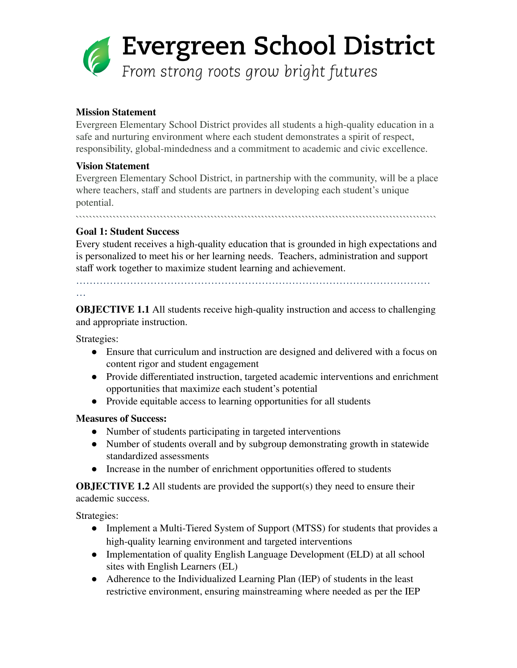

# **Mission Statement**

Evergreen Elementary School District provides all students a high-quality education in a safe and nurturing environment where each student demonstrates a spirit of respect, responsibility, global-mindedness and a commitment to academic and civic excellence.

### **Vision Statement**

Evergreen Elementary School District, in partnership with the community, will be a place where teachers, staff and students are partners in developing each student's unique potential.

```````````````````````````````````````````````````````````````````````````````````````````````````````````

# **Goal 1: Student Success**

Every student receives a high-quality education that is grounded in high expectations and is personalized to meet his or her learning needs. Teachers, administration and support staff work together to maximize student learning and achievement.

……………………………………………………………………………………………

#### …

**OBJECTIVE 1.1** All students receive high-quality instruction and access to challenging and appropriate instruction.

Strategies:

- Ensure that curriculum and instruction are designed and delivered with a focus on content rigor and student engagement
- Provide differentiated instruction, targeted academic interventions and enrichment opportunities that maximize each student's potential
- Provide equitable access to learning opportunities for all students

#### **Measures of Success:**

- Number of students participating in targeted interventions
- Number of students overall and by subgroup demonstrating growth in statewide standardized assessments
- Increase in the number of enrichment opportunities offered to students

**OBJECTIVE 1.2** All students are provided the support(s) they need to ensure their academic success.

Strategies:

- Implement a Multi-Tiered System of Support (MTSS) for students that provides a high-quality learning environment and targeted interventions
- Implementation of quality English Language Development (ELD) at all school sites with English Learners (EL)
- Adherence to the Individualized Learning Plan (IEP) of students in the least restrictive environment, ensuring mainstreaming where needed as per the IEP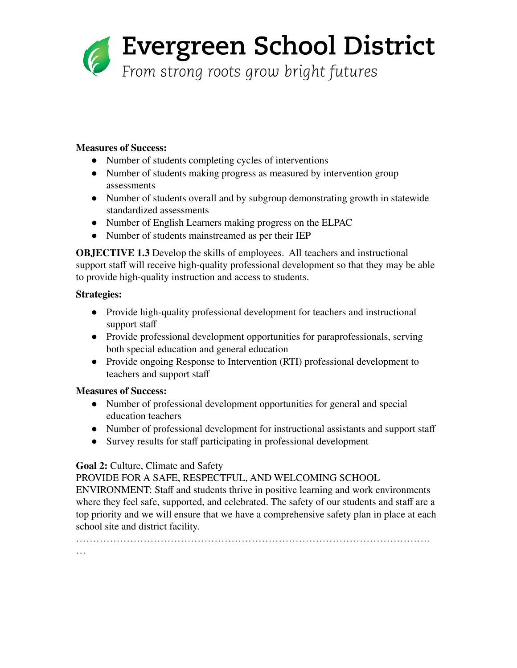

#### **Measures of Success:**

- Number of students completing cycles of interventions
- Number of students making progress as measured by intervention group assessments
- Number of students overall and by subgroup demonstrating growth in statewide standardized assessments
- Number of English Learners making progress on the ELPAC
- Number of students mainstreamed as per their IEP

**OBJECTIVE 1.3** Develop the skills of employees. All teachers and instructional support staff will receive high-quality professional development so that they may be able to provide high-quality instruction and access to students.

# **Strategies:**

…

- Provide high-quality professional development for teachers and instructional support staff
- Provide professional development opportunities for paraprofessionals, serving both special education and general education
- Provide ongoing Response to Intervention (RTI) professional development to teachers and support staff

# **Measures of Success:**

- Number of professional development opportunities for general and special education teachers
- Number of professional development for instructional assistants and support staff
- Survey results for staff participating in professional development

# **Goal 2:** Culture, Climate and Safety

PROVIDE FOR A SAFE, RESPECTFUL, AND WELCOMING SCHOOL

ENVIRONMENT: Staff and students thrive in positive learning and work environments where they feel safe, supported, and celebrated. The safety of our students and staff are a top priority and we will ensure that we have a comprehensive safety plan in place at each school site and district facility.

……………………………………………………………………………………………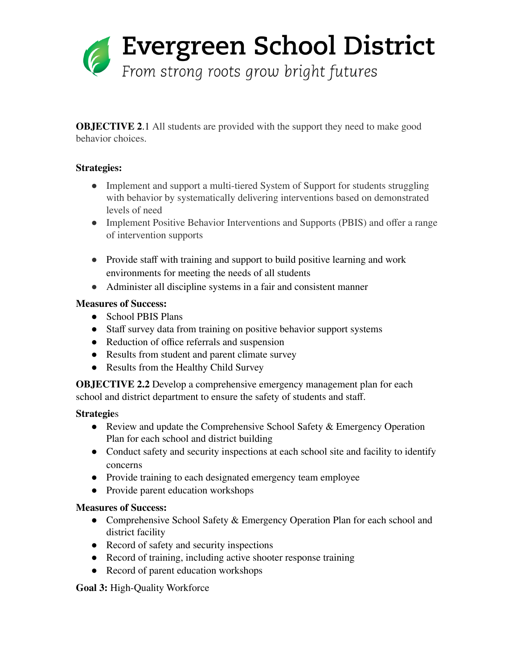

**OBJECTIVE 2.1** All students are provided with the support they need to make good behavior choices.

# **Strategies:**

- Implement and support a multi-tiered System of Support for students struggling with behavior by systematically delivering interventions based on demonstrated levels of need
- Implement Positive Behavior Interventions and Supports (PBIS) and offer a range of intervention supports
- Provide staff with training and support to build positive learning and work environments for meeting the needs of all students
- Administer all discipline systems in a fair and consistent manner

# **Measures of Success:**

- School PBIS Plans
- Staff survey data from training on positive behavior support systems
- Reduction of office referrals and suspension
- Results from student and parent climate survey
- Results from the Healthy Child Survey

**OBJECTIVE 2.2** Develop a comprehensive emergency management plan for each school and district department to ensure the safety of students and staff.

#### **Strategie**s

- Review and update the Comprehensive School Safety & Emergency Operation Plan for each school and district building
- Conduct safety and security inspections at each school site and facility to identify concerns
- Provide training to each designated emergency team employee
- Provide parent education workshops

#### **Measures of Success:**

- Comprehensive School Safety & Emergency Operation Plan for each school and district facility
- Record of safety and security inspections
- Record of training, including active shooter response training
- Record of parent education workshops

#### **Goal 3:** High-Quality Workforce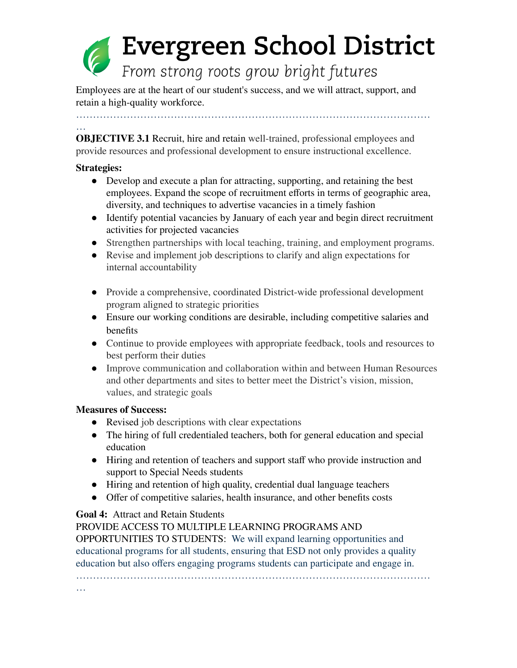# Evergreen School District From strong roots grow bright futures

Employees are at the heart of our student's success, and we will attract, support, and retain a high-quality workforce.

……………………………………………………………………………………………

#### …

**OBJECTIVE 3.1** Recruit, hire and retain well-trained, professional employees and provide resources and professional development to ensure instructional excellence.

#### **Strategies:**

- Develop and execute a plan for attracting, supporting, and retaining the best employees. Expand the scope of recruitment efforts in terms of geographic area, diversity, and techniques to advertise vacancies in a timely fashion
- Identify potential vacancies by January of each year and begin direct recruitment activities for projected vacancies
- Strengthen partnerships with local teaching, training, and employment programs.
- Revise and implement job descriptions to clarify and align expectations for internal accountability
- Provide a comprehensive, coordinated District-wide professional development program aligned to strategic priorities
- Ensure our working conditions are desirable, including competitive salaries and benefits
- Continue to provide employees with appropriate feedback, tools and resources to best perform their duties
- Improve communication and collaboration within and between Human Resources and other departments and sites to better meet the District's vision, mission, values, and strategic goals

#### **Measures of Success:**

…

- Revised job descriptions with clear expectations
- The hiring of full credentialed teachers, both for general education and special education
- Hiring and retention of teachers and support staff who provide instruction and support to Special Needs students
- Hiring and retention of high quality, credential dual language teachers
- Offer of competitive salaries, health insurance, and other benefits costs

# **Goal 4:** Attract and Retain Students

PROVIDE ACCESS TO MULTIPLE LEARNING PROGRAMS AND

OPPORTUNITIES TO STUDENTS: We will expand learning opportunities and educational programs for all students, ensuring that ESD not only provides a quality education but also offers engaging programs students can participate and engage in.

……………………………………………………………………………………………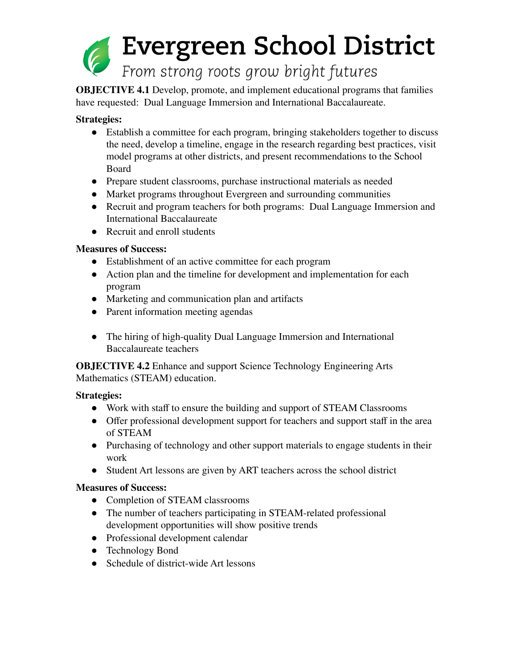

**OBJECTIVE 4.1** Develop, promote, and implement educational programs that families have requested: Dual Language Immersion and International Baccalaureate.

# **Strategies:**

- Establish a committee for each program, bringing stakeholders together to discuss the need, develop a timeline, engage in the research regarding best practices, visit model programs at other districts, and present recommendations to the School Board
- Prepare student classrooms, purchase instructional materials as needed
- Market programs throughout Evergreen and surrounding communities
- Recruit and program teachers for both programs: Dual Language Immersion and International Baccalaureate
- Recruit and enroll students

# **Measures of Success:**

- Establishment of an active committee for each program
- Action plan and the timeline for development and implementation for each program
- Marketing and communication plan and artifacts
- Parent information meeting agendas
- The hiring of high-quality Dual Language Immersion and International Baccalaureate teachers

**OBJECTIVE 4.2** Enhance and support Science Technology Engineering Arts Mathematics (STEAM) education.

#### **Strategies:**

- Work with staff to ensure the building and support of STEAM Classrooms
- Offer professional development support for teachers and support staff in the area of STEAM
- Purchasing of technology and other support materials to engage students in their work
- Student Art lessons are given by ART teachers across the school district

#### **Measures of Success:**

- Completion of STEAM classrooms
- The number of teachers participating in STEAM-related professional development opportunities will show positive trends
- Professional development calendar
- Technology Bond
- Schedule of district-wide Art lessons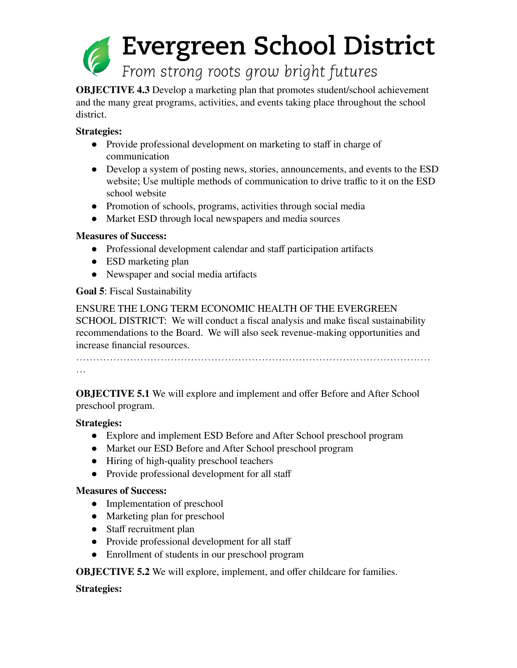

**OBJECTIVE 4.3** Develop a marketing plan that promotes student/school achievement and the many great programs, activities, and events taking place throughout the school district.

### **Strategies:**

- Provide professional development on marketing to staff in charge of communication
- Develop a system of posting news, stories, announcements, and events to the ESD website; Use multiple methods of communication to drive traffic to it on the ESD school website
- Promotion of schools, programs, activities through social media
- Market ESD through local newspapers and media sources

# **Measures of Success:**

- Professional development calendar and staff participation artifacts
- ESD marketing plan
- Newspaper and social media artifacts

# **Goal 5**: Fiscal Sustainability

ENSURE THE LONG TERM ECONOMIC HEALTH OF THE EVERGREEN SCHOOL DISTRICT: We will conduct a fiscal analysis and make fiscal sustainability recommendations to the Board. We will also seek revenue-making opportunities and increase financial resources.

……………………………………………………………………………………………

…

**OBJECTIVE 5.1** We will explore and implement and offer Before and After School preschool program.

# **Strategies:**

- Explore and implement ESD Before and After School preschool program
- Market our ESD Before and After School preschool program
- Hiring of high-quality preschool teachers
- Provide professional development for all staff

# **Measures of Success:**

- Implementation of preschool
- Marketing plan for preschool
- Staff recruitment plan
- Provide professional development for all staff
- Enrollment of students in our preschool program

**OBJECTIVE 5.2** We will explore, implement, and offer childcare for families.

# **Strategies:**